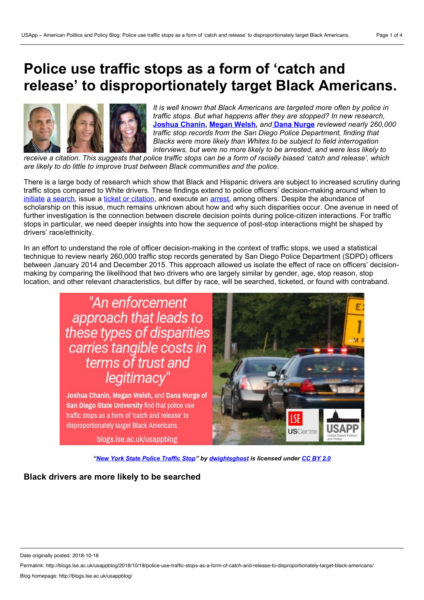# **Police use traffic stops as a form of 'catch and release' to disproportionately target Black Americans.**



*It is well known that Black Americans are targeted more often by police in traffic stops. But what happens after they are stopped? In new research,* **[Joshua](https://wp.me/p3I2YF-8dN#Author) Chanin, [Megan](https://wp.me/p3I2YF-8dN#Author) Welsh,** *and* **Dana [Nurge](https://wp.me/p3I2YF-8dN#Author)** *reviewed nearly 260,000 traffic stop records from the San Diego Police Department, finding that Blacks were more likely than Whites to be subject to field interrogation interviews, but were no more likely to be arrested, and were less likely to*

receive a citation. This suggests that police traffic stops can be a form of racially biased 'catch and release', which *are likely to do little to improve trust between Black communities and the police.*

There is a large body of research which show that Black and Hispanic drivers are subject to increased scrutiny during traffic stops compared to White drivers. These findings extend to police officers' decision-making around when to [initiate](https://www.jstor.org/stable/pdf/10.1086/318603.pdf?casa_token=8oaiJNjq-7cAAAAA:nDQobC10jcqLGuFA1PUErlJqERynKk5wK19DvjLV4An5xGA90oc6qk7BgEk_vsUb8ZZm0vWAYUBmsDUxcZwnfOczM_c0aBGKjwWTjxA7zKOlDp-JTw) a [search,](https://scholarship.law.duke.edu/cgi/viewcontent.cgi?referer=https://scholar.google.com/&httpsredir=1&article=1065&context=dflsc) issue a ticket or [citation,](https://engagedscholarship.csuohio.edu/cgi/viewcontent.cgi?referer=https://scholar.google.com/&httpsredir=1&article=1129&context=clsoc_crim_facpub) and execute an [arrest](https://onlinelibrary.wiley.com/doi/abs/10.1111/j.1745-9125.2011.00230.x), among others. Despite the abundance of scholarship on this issue, much remains unknown about how and why such disparities occur. One avenue in need of further investigation is the connection between discrete decision points during police-citizen interactions. For traffic stops in particular, we need deeper insights into how the *sequence* of post-stop interactions might be shaped by drivers' race/ethnicity.

In an effort to understand the role of officer decision-making in the context of traffic stops, we used a statistical technique to review nearly 260,000 traffic stop records generated by San Diego Police Department (SDPD) officers between January 2014 and December 2015. This approach allowed us isolate the effect of race on officers' decision making by comparing the likelihood that two drivers who are largely similar by gender, age, stop reason, stop location, and other relevant characteristics, but differ by race, will be searched, ticketed, or found with contraband.



Joshua Chanin, Megan Welsh, and Dana Nurge of San Diego State University find that police use traffic stops as a form of 'catch and release' to disproportionately target Black Americans.

blogs.lse.ac.uk/usappblog



*"New York State Police [Traffic](https://www.flickr.com/photos/dwightsghost/2814882133/) Stop" by [dwightsghost](https://www.flickr.com/photos/dwightsghost/) is licensed under [CC](https://creativecommons.org/licenses/by/2.0/) BY 2.0*

**Black drivers are more likely to be searched**

Permalink: http://blogs.lse.ac.uk/usappblog/2018/10/18/police-use-traffic-stops-as-a-form-of-catch-and-release-to-disproportionately-target-black-americans/

Date originally posted: 2018-10-18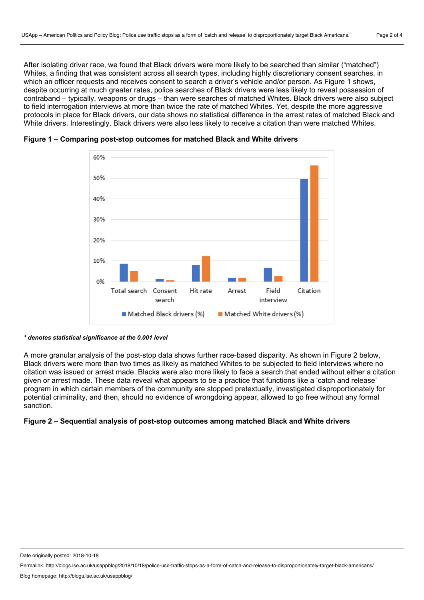After isolating driver race, we found that Black drivers were more likely to be searched than similar ("matched") Whites, a finding that was consistent across all search types, including highly discretionary consent searches, in which an officer requests and receives consent to search a driver's vehicle and/or person. As Figure 1 shows, despite occurring at much greater rates, police searches of Black drivers were less likely to reveal possession of contraband – typically, weapons or drugs – than were searches of matched Whites. Black drivers were also subject to field interrogation interviews at more than twice the rate of matched Whites. Yet, despite the more aggressive protocols in place for Black drivers, our data shows no statistical difference in the arrest rates of matched Black and White drivers. Interestingly, Black drivers were also less likely to receive a citation than were matched Whites.



## **Figure 1 – Comparing post-stop outcomes for matched Black and White drivers**

#### *\* denotes statistical significance at the 0.001 level*

A more granular analysis of the post-stop data shows further race-based disparity. As shown in Figure 2 below, Black drivers were more than two times as likely as matched Whites to be subjected to field interviews where no citation was issued or arrest made. Blacks were also more likely to face a search that ended without either a citation given or arrest made. These data reveal what appears to be a practice that functions like a 'catch and release' program in which certain members of the community are stopped pretextually, investigated disproportionately for potential criminality, and then, should no evidence of wrongdoing appear, allowed to go free without any formal sanction.

## **Figure 2 – Sequential analysis of post-stop outcomes among matched Black and White drivers**

Date originally posted: 2018-10-18

Permalink: http://blogs.lse.ac.uk/usappblog/2018/10/18/police-use-traffic-stops-as-a-form-of-catch-and-release-to-disproportionately-target-black-americans/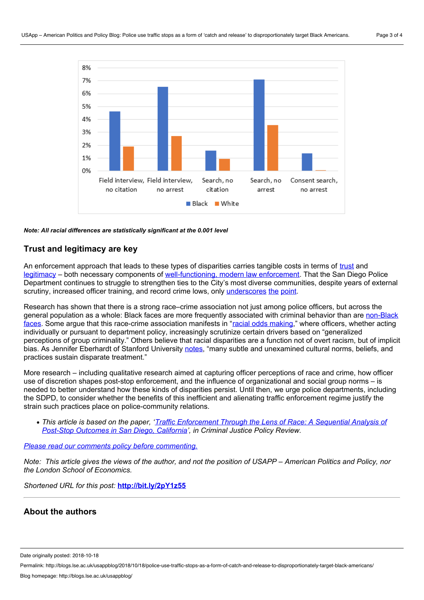

#### *Note: All racial differences are statistically significant at the 0.001 level*

## **Trust and legitimacy are key**

An enforcement approach that leads to these types of disparities carries tangible costs in terms of [trust](https://onlinelibrary.wiley.com/doi/abs/10.1111/j.1745-9133.2007.00423.x) and [legitimacy](https://search.proquest.com/docview/220689142/fulltextPDF/9ACD147E7B154082PQ/1?accountid=13758) – both necessary components of [well-functioning,](https://ric-zai-inc.com/Publications/cops-p311-pub.pdf) modern law enforcement. That the San Diego Police Department continues to struggle to strengthen ties to the City's most diverse communities, despite years of external scrutiny, increased officer training, and record crime lows, only [underscores](https://ric-zai-inc.com/Publications/cops-w0756-pub.pdf) [the](http://www.sandiegouniontribune.com/news/politics/sd-me-racial-profiling-20180613-story.html) [point](http://www.sandiegouniontribune.com/news/public-safety/sd-me-sandiego-crime-20180205-story.html).

Research has shown that there is a strong race–crime association not just among police officers, but across the general population as a whole: Black faces are more frequently associated with criminal behavior than are non-Black faces. Some argue that this race-crime [association](http://www.unc.edu/~fbaum/teaching/articles/SeeingBlack.pdf) manifests in "racial odds [making](https://www.researchgate.net/profile/Geoffrey_Alpert2/publication/242202149_Explaining_Police_Bias/links/5975e760aca2728d02625135/Explaining-Police-Bias.pdf)," where officers, whether acting individually or pursuant to department policy, increasingly scrutinize certain drivers based on "generalized" perceptions of group criminality." Others believe that racial disparities are a function not of overt racism, but of implicit bias. As Jennifer Eberhardt of Stanford University [notes,](https://sparq.stanford.edu/opd-reports) "many subtle and unexamined cultural norms, beliefs, and practices sustain disparate treatment."

More research – including qualitative research aimed at capturing officer perceptions of race and crime, how officer use of discretion shapes post-stop enforcement, and the influence of organizational and social group norms – is needed to better understand how these kinds of disparities persist. Until then, we urge police departments, including the SDPD, to consider whether the benefits of this inefficient and alienating traffic enforcement regime justify the strain such practices place on police-community relations.

• This article is based on the paper, 'Traffic [Enforcement](http://journals.sagepub.com/doi/10.1177/0887403417740188) Through the Lens of Race: A Sequential Analysis of *Post-Stop Outcomes in San Diego, California', in Criminal Justice Policy Review.*

#### *Please read our comments policy before [commenting.](http://blogs.lse.ac.uk/usappblog/comments-policy/)*

Note: This article gives the views of the author, and not the position of USAPP – American Politics and Policy, nor *the London School of Economics.*

*Shortened URL for this post:* **<http://bit.ly/2pY1z55>**

# **About the authors**

Date originally posted: 2018-10-18

Permalink: http://blogs.lse.ac.uk/usappblog/2018/10/18/police-use-traffic-stops-as-a-form-of-catch-and-release-to-disproportionately-target-black-americans/